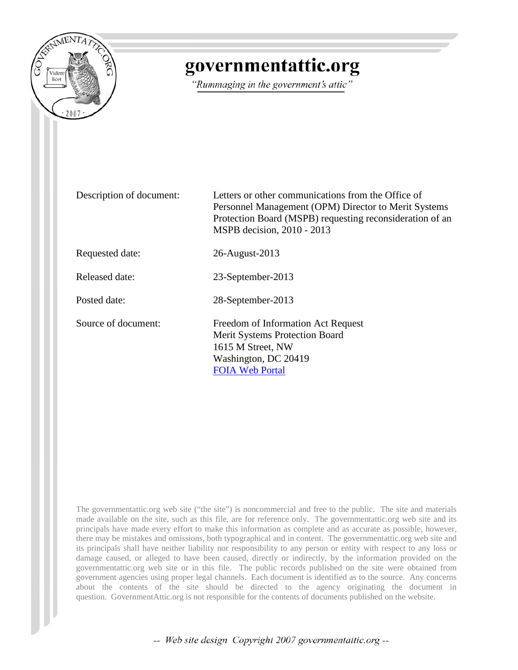

## governmentattic.org

"Rummaging in the government's attic"

| Description of document: | Letters or other communications from the Office of<br>Personnel Management (OPM) Director to Merit Systems<br>Protection Board (MSPB) requesting reconsideration of an<br>MSPB decision, 2010 - 2013 |
|--------------------------|------------------------------------------------------------------------------------------------------------------------------------------------------------------------------------------------------|
| Requested date:          | 26-August-2013                                                                                                                                                                                       |
| Released date:           | 23-September-2013                                                                                                                                                                                    |
| Posted date:             | 28-September-2013                                                                                                                                                                                    |
| Source of document:      | Freedom of Information Act Request<br>Merit Systems Protection Board<br>1615 M Street, NW<br>Washington, DC 20419<br><b>FOIA Web Portal</b>                                                          |

The governmentattic.org web site ("the site") is noncommercial and free to the public. The site and materials made available on the site, such as this file, are for reference only. The governmentattic.org web site and its principals have made every effort to make this information as complete and as accurate as possible, however, there may be mistakes and omissions, both typographical and in content. The governmentattic.org web site and its principals shall have neither liability nor responsibility to any person or entity with respect to any loss or damage caused, or alleged to have been caused, directly or indirectly, by the information provided on the governmentattic.org web site or in this file. The public records published on the site were obtained from government agencies using proper legal channels. Each document is identified as to the source. Any concerns about the contents of the site should be directed to the agency originating the document in question. GovernmentAttic.org is not responsible for the contents of documents published on the website.

-- Web site design Copyright 2007 governmentattic.org --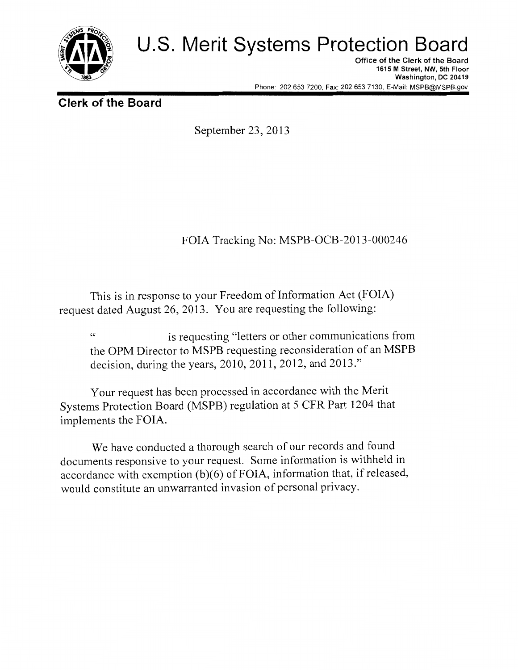

# **U.S. Merit Systems Protection Board**

Office of the Clerk of the Board 1615 M Street, NW, 5th Floor Washington, DC 20419 Phone: 202 653 7200, Fax: 202 653 7130, E-Mail: MSPB@MSPB.gov

**Clerk of the Board** 

September 23, 2013

### FOIA Tracking No: MSPB-OCB-2013-000246

This is in response to your Freedom of Information Act (FOIA) request dated August 26, 2013. You are requesting the following:

" is requesting "letters or other communications from the OPM Director to MSPB requesting reconsideration of an MSPB decision, during the years, 2010, 2011, 2012, and 2013."

Your request has been processed in accordance with the Merit Systems Protection Board (MSPB) regulation at 5 CPR Part 1204 that implements the FOIA.

We have conducted a thorough search of our records and found documents responsive to your request. Some information is withheld in accordance with exemption  $(b)(6)$  of FOIA, information that, if released, would constitute an unwarranted invasion of personal privacy.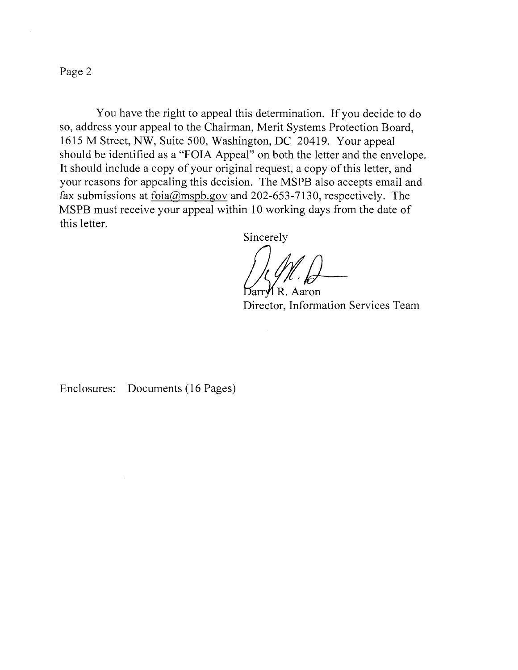Page 2

You have the right to appeal this determination. If you decide to do so, address your appeal to the Chairman, Merit Systems Protection Board, 1615 M Street, NW, Suite 500, Washington, DC 20419. Your appeal should be identified as a "FOIA Appeal" on both the letter and the envelope. It should include a copy of your original request, a copy of this letter, and your reasons for appealing this decision. The MSPB also accepts email and fax submissions at foia@mspb.gov and 202-653-7130, respectively. The MSPB must receive your appeal within 10 working days from the date of this letter.

Sincerely

 $\forall$  R. Aaron Director, Information Services Team

Enclosures: Documents ( 16 Pages)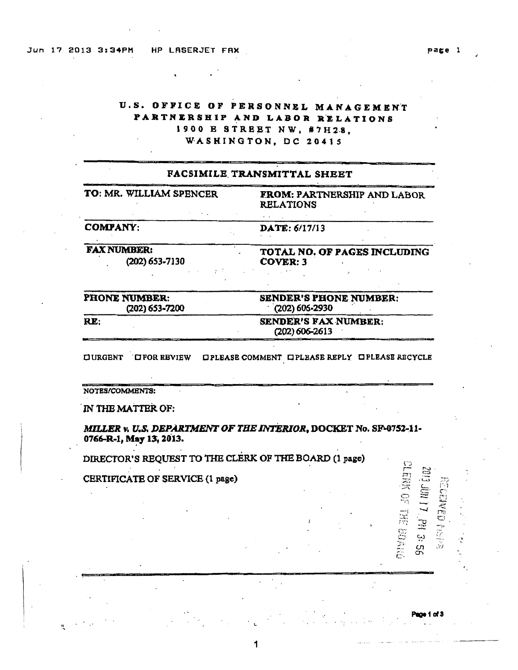### U.S. OFFICE OF PERSONNEL MANAGEMENT PARTNERSHIP AND LABOR RELATIONS 1900 E STREET NW, #7H28, WASHINGTON. DC 20415

| FACSIMILE TRANSMITTAL SHEET            |                                                        |  |  |
|----------------------------------------|--------------------------------------------------------|--|--|
| TO: MR. WILLIAM SPENCER                | <b>FROM: PARTNERSHIP AND LABOR</b><br><b>RELATIONS</b> |  |  |
| <b>COMPANY:</b>                        | DATE: 6/17/13                                          |  |  |
| <b>FAX NUMBER:</b><br>(202) 653-7130   | TOTAL NO. OF PAGES INCLUDING<br><b>COVER: 3</b>        |  |  |
| <b>PHONE NUMBER:</b><br>(202) 653-7200 | <b>SENDER'S PHONE NUMBER:</b><br>$(202)$ 606-2930      |  |  |
| RE:                                    | SENDER'S FAX NUMBER:<br>$(202)$ 606-2613               |  |  |

0 URGBNT . CFOR RBVIEW 0 PLBASB COMMENT CPLBASE REPLY. 0 PLEASE RECYCLE

NOTES/COMMENTS:

IN THE MATTER OF:

*MILLER v. U.S. DEPARTMENT OF THE INTERIOR, DOCKET No. SF-0752-11-*0766-R-1, May 13, 2013.

1

DIRECTOR'S REQUEST TO THE CLERK OF THE BOARD (1 page)

CERTIFICATE OF SERVICE (1 page)

ge 1 of 3

rtaki

Hijr Einz

.::r,; 1·-1 *('"}*  —<br>—  $\tilde{E}$ ~f>

. ' •.

 $\overline{\phantom{a}}$ 

w Ul en

 $\frac{1}{11}$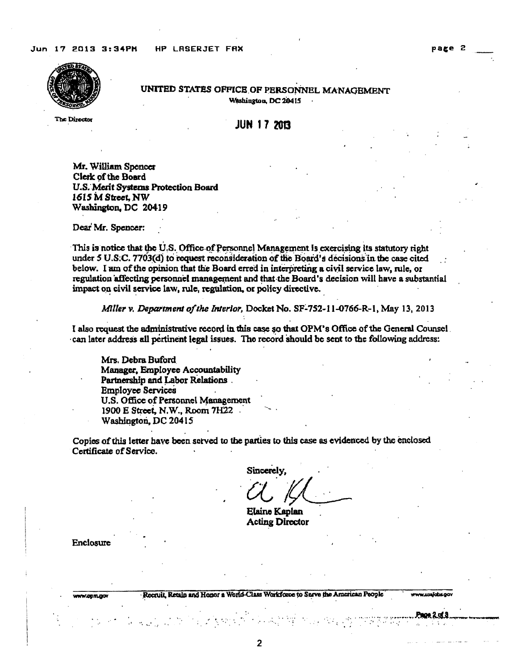

UNITED STATES OFFICE OF PERSONNEL MANAGEMENT Washington, DC 20415

The Director

**JUN 17 2013** 

Mr. William Spencer Clerk of the Board U.S. Merit Systems Protection Board 1615 M Street NW Washington, DC 20419

Dear Mr. Spencer:

This is notice that the U.S. Office of Personnel Management is exercising its statutory right under 5 U.S.C. 7703(d) to request reconsideration of the Board's decisions in the case cited below. I am of the opinion that the Board erred in interpreting a civil service law, rule, or regulation affecting personnel management and that the Board's decision will have a substantial impact on civil service law, rule, regulation, or policy directive.

Miller v. Department of the Interior, Docket No. SF-752-11-0766-R-1, May 13, 2013

I also request the administrative record in this case so that OPM's Office of the General Counsel. can later address all pertinent legal issues. The record should be sent to the following address:

Mrs. Debra Buford Manager, Employee Accountability Partnership and Labor Relations. **Employee Services** U.S. Office of Personnel Management 1900 E Street, N.W., Room 7H22 Washington, DC 20415

Copies of this letter have been served to the parties to this case as evidenced by the enclosed Certificate of Service.

Sincerely.

Elaine Kaplan **Acting Director** 

Enclosure

n/oom.cov

Recruit Retain and Honor a World-Class Workforce to Serve the American People

www.usalabs.com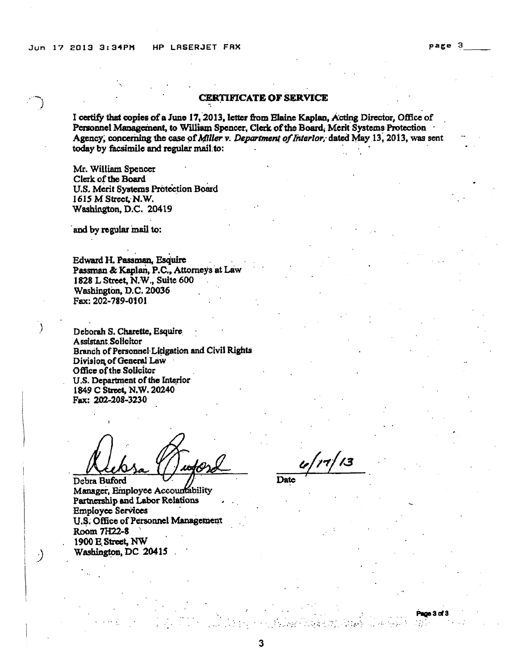I certify that copies of a June 17, 2013, letter from Elaine Kaplan, Acting Director, Office of Personnel Management, to William Spencer, Clerk of the Board, Merit Systems Protection Agency, concerning the case of Miller v. Department of Interior, dated May 13, 2013, was sent today by facsimile and regular mail to:

Mr. William Spencer Clerk of the Board U.S. Merit Systems Protection Board 1615 M Street, N.W. Washington, D.C. 20419

and by regular mail to:

Edward H. Passman, Esquire Passman & Kaplan, P.C., Attorneys at Law 1828 L Street, N.W., Suite 600 Washington, D.C. 20036 Fax: 202-789-0101

Deborah S. Charette, Esquire Assistant Solicitor Branch of Personnel Litigation and Civil Rights Division of General Law Office of the Solicitor U.S. Department of the Interior 1849 C Street, N.W. 20240 Fax: 202-208-3230

Debra Buford Manager, Employee Accountability Partnership and Labor Relations **Employee Services** U.S. Office of Personnel Management Room 7H22-8 1900 E Street, NW Washington, DC 20415.

 $\cdot$ 

Date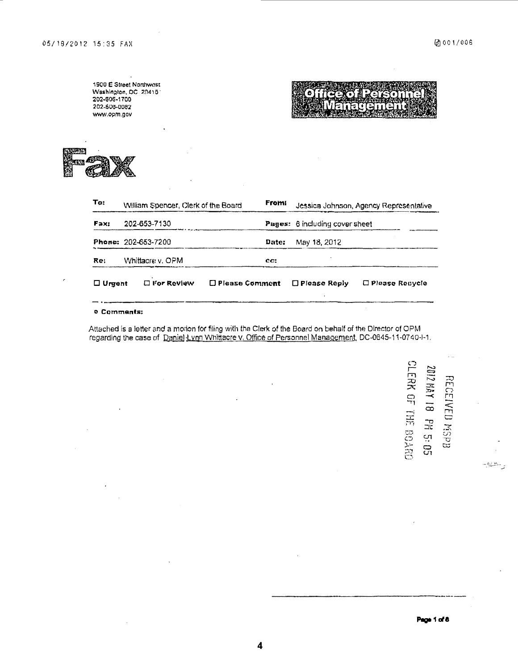1900 E Street Northwast Washington, DC 204151 202-606-1700<br>202-606-1700 www.opm.gov



| To:<br>William Spencer, Clerk of the Board |                      |                          | <b>From:</b> |                                | Jessica Johnson, Agency Representative |  |  |
|--------------------------------------------|----------------------|--------------------------|--------------|--------------------------------|----------------------------------------|--|--|
| Fax:                                       | 202-653-7130         |                          |              | Pages: 6 including cover sheet |                                        |  |  |
|                                            | Phone: 202-653-7200  |                          | Date:        | May 18, 2012                   |                                        |  |  |
| Re:                                        | Whittacre v. OPM     |                          | CC:          |                                |                                        |  |  |
| $\square$ Urgent                           | $\square$ For Review | $\square$ Please Comment |              | $\Box$ Please Reply            | $\Box$ Please Repycie                  |  |  |

#### **o** Comments:

Attached is a letter and a motion for filing with the Clerk of the Board on behalf of the Director of OPM regarding the case of Daniel Lynn Whittacre v. Office of Personnel Management, DC-0845-11-0740-l-1.

CLERK OF THE BOARD 2012 MAY 18 PM 5: 05 **RECEIVED MSPB** 

بالمتقيم

Page 1 of 8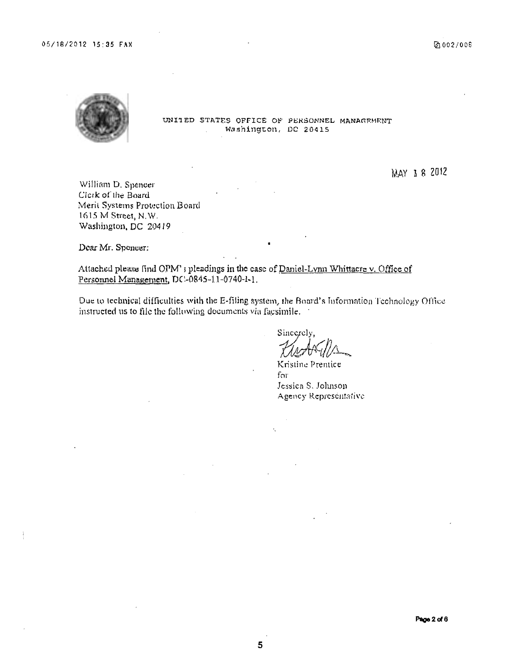#### 05/18/2012 15:35 FAX



UNITED STATES OFFICE OF PERSONNEL MANAGEMENT Washington, DC 20415

MAY 18 2012

William D. Spencer Clerk of the Board Merit Systems Protection Board 1615 M Street, N.W. Washington, DC 20419

Dear Mr. Spencer:

Attached please find OPM' ; pleadings in the case of Daniel-Lynn Whittacre v. Office of Personnel Management, DC-0845-11-0740-1-1.

Due to technical difficulties with the E-filing system, the Board's Information Technology Office instructed us to file the following documents via facsimile.

Sincere

Kristine Prentice for Jessica S. Johnson Agency Representative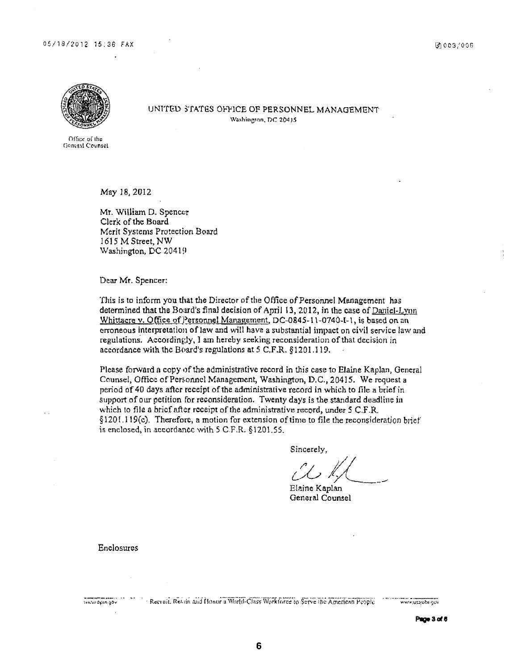

UNITED STATES OFFICE OF PERSONNEL MANAGEMENT Waxhington, DC 20415

Orlicc of 1he General Counsel

May 18, 2012

Mr. William D. Spencer Clerk of the Board Merit Systems Protection Board 1615 M Street, NW Washington, DC 20419

Dear Mr. Spencer:

This is to inform you that the Director of the Office of Personnel Management has determined that the Board's final decision of April 13, 2012, in the case of Daniel-Lynn Whittacre v. Office of Personnel Management, DC-0845-11-0740-I-1, is based on an erroneous interpretation of Jaw and will have a substantial impact on civil service law and regulations. Accordingly, I am hereby seeking reconsideration of that decision in accordance with the Board's regulatlons at S C.F.R. §1201 .119.

Please forward a copy of the administrative record in this case to Elaine Kaplan, General Counsel, Office of Personnel Management, Washington, D.C., 20415. We request a period of 40 days after receipt of the administrative record in which to file a brief in support of our petition for reconsideration. Twenty days is the standard deadline in which to file a brief after receipt of lhe administrative record, under *5* C.F .R. §1201.119(c). Therefore, a motion for extension of time to file the reconsideration brief is enclosed, in  $a$ ccordancc with  $5$  C.F.R. §1201.55.

Sincerely,

 $CL$  of  $L$ 

Elaine Kaplan General Counsel

Enclosures

www.opin.gov

Recruit, Retain and Honor a World-Class Workforce to Serve the American People

www.usajobs.gov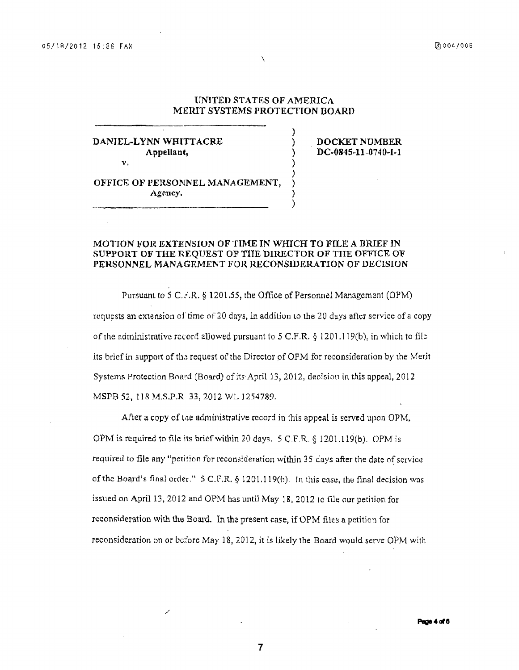#### **UNITED STATES OF AMERICA MERIT SYSTEMS PROTECTION BOARD**

)

)

)

\

#### **DANIEL-LYNN WHITTACRE Appellant,** ) v. )

/

. **DOCKET NUMBER DC-0845-11-0740-1-1** 

**OFFICE OF PERSONNEL MANAGEMENT, Agency.** )

#### **MOTION FOR EXTENSION OF TIME IN WHICH TO FILE A BRIEF IN** SUPPORT OF THE REQUEST OF THE DIRECTOR OF THE OFFICE OF **PERSONNEL MANAGEMENT FOR RECONSIDERATION OF DECISION**

Pursuant to 5 C.::R. § 1201.55, the Office of Personnel Management (OPM) requests an extension of time of20 days, in addition to the 20 days after service of a copy of the ndministmtivc rcrnrd allowed pursuant to *5* C.F.R. § 1201. l 19(b ), in which to file its brief in support of the request of the Director of OPM for reconsideration by the Merit Systems Protection Boa•:d (Board) of *its* April 13, 2012, decision in this appeal, 2012 MSPB 52, 118 M.S.P.R 33, 2012 WL 1254789.

After a copy of the administrative record in this appeal is served upon OPM, OPM is required to file its brief within 20 days. 5 C.F.R. § 1201.119(b). OPM is required to file any "petition for reconsideration within 35 days after the date of scrvice. of the Board's final order." 5 C.F.R. § 1201.119(b). In this case, the final decision was issued on April 13, 2012 and OPM has until May 18, 2012 to file our petition for reconsideration with the Board. In the present case, if OPM files a petition for reconsideration on or before May 18, 2012, it is likely the Board would serve OPM with

**7**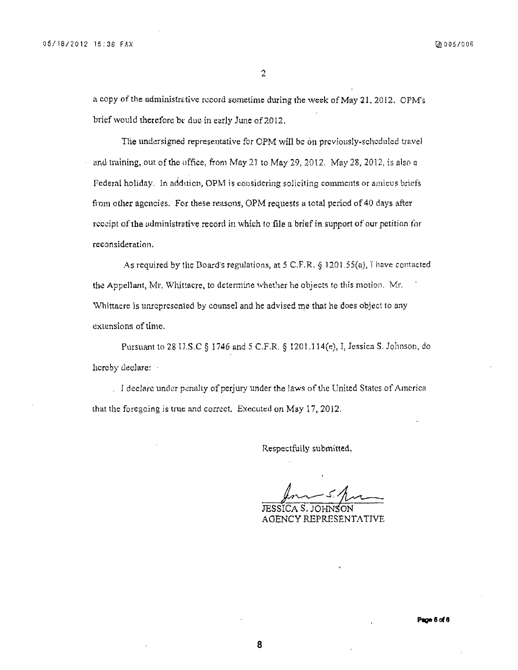a copy of the administrative record sometime during the week of May 21, 2012. OPM's brief would therefore be due in early June of 2012.

The undersigned representative for OPM will be on previously-scheduled travel and training, out of the office, from May 21 to May 29, 2012. May 28, 2012, is also  $q$ Pederal holiday. In addition, OPM is considering soliciting comments or amicus briefs from other agencies. For these reasons, OPM requests a total period of 40 days after receipt of the administrative record in which to file a brief in support of our petition for reconsideration.

As required by the Board's regulations, at 5 C.F.R. *§* 1201.55(a), *I* have contacted the Appellant, Mr. Whittacre, to determine whether he objects to this motion. Mr. Whittacre is unrepresented by counsel and he advised me that he does object to any extensions of time.

Pursuant to 28 tJ.S.C § 1746 and 5 C.F.R. § 1201.114(e); I, Jessica S. Jo)rnson, *do*  hereby declare:

I declare under penalty of perjury under the laws of the United States of America that the foregoing is true and correct. Executed on May  $17, 2012$ .

Respectfully submitted,

form 5 August 1985

JESSICA AGENCY REPRESEN1'A TJVE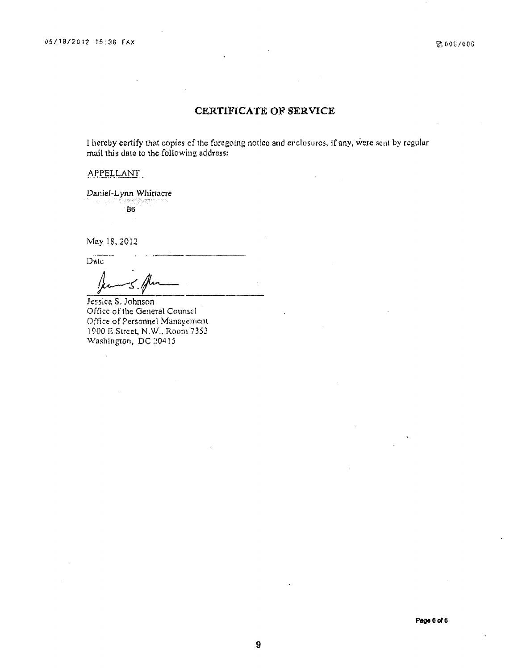I hereby certify that copies of the foregoing notice and enclosures, if any, were sent by regular mail 1his date to the following address:

APPELLANT

Daniel-Lynn Whir1acre

**B6** 

May 18, 2012

 $\overline{\mathrm{Date}}$ 

Jessica S. Johnson Office of the General Counsel Office of Personnel Management 1900 E Street, N.W., Room 7353 Washington, DC 20415

**Page 6of6**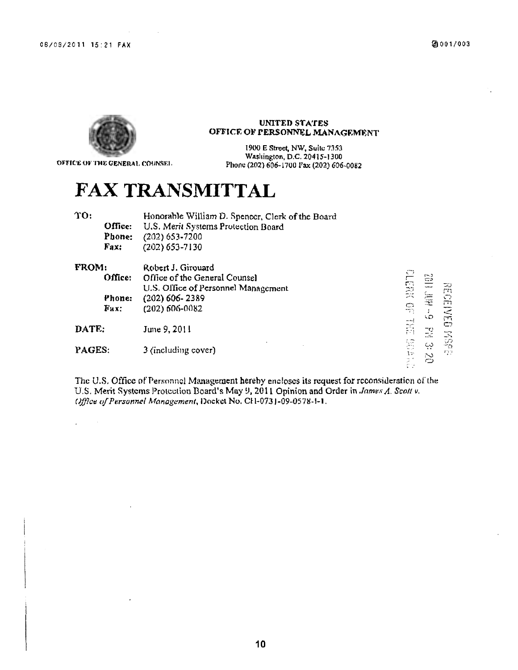

#### OFFICE OF THE GENERAL COUNSEL.

#### UNITED STATES OFFICE OF PERSONNEL MANAGEMENT

1900 E Street, NW, Suite 7353 WAshiagton, D.C. 2041S-1300 Phone (202} 606-1700 l<sup>1</sup> ax (202) 606-0082

# **FAX TRANSMITTAL**

TO:

|      | Honorable William D. Spencer, Clerk of the Board |
|------|--------------------------------------------------|
|      | Office: U.S. Merit Systems Protection Board      |
|      | <b>Phone:</b> $(202) 653 - 7200$                 |
| Fax: | $(202)$ 653-7130                                 |

| FROM:<br>Office:<br>Phone:<br>Fax: | Robert J. Girouard<br>Office of the General Counsel<br>U.S. Office of Personnel Management<br>$(202)$ 606-2389<br>(202) 606-0082 | $\mathbb{C}$<br>SH <sub>3</sub><br>Ģ | 霊<br>$5.1 - 10$<br>۔۔۔۔۔۔۔۔۔۔۔۔۔۔۔۔۔۔۔۔۔۔۔۔۔۔۔۔۔<br><b>STERE</b><br>æ | رت<br>اب<br>ا<br>$\overline{\mathbf{m}}$<br><. |
|------------------------------------|----------------------------------------------------------------------------------------------------------------------------------|--------------------------------------|-----------------------------------------------------------------------|------------------------------------------------|
| DATE:                              | June 9, 2011                                                                                                                     | 蒿                                    | ۲O<br>-17<br>пă.                                                      | بمدا<br>c<br>3                                 |
| PAGES:                             | 3 (including cover)                                                                                                              | 뚕<br>ţ,<br><br>o.<br>$\mu$ .         | ڊبَ<br>N<br>ت                                                         | ్ష<br>ng                                       |

The U.S. Office of Personnel Management hereby encloses its request for reconsideration of the U.S. Merit Systems Protection Board's May 9, 2011 Opinion and Order in *James A. Scott v. Office of Personnel Management, Docket No. CH-0731-09-0578-1-1.*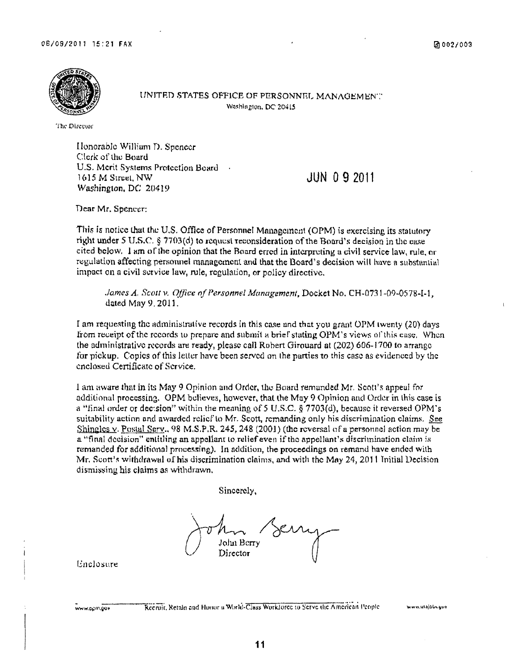

UNITED STATES OFFICE OF PERSONNEL MANAGEMENT Washington, DC 20415

The Director

Honorable William D. Spencer Clerk of the Board U.S. Merit Systems Protection Board 1615 M Street, NW Washington, DC 20419

**JUN 092011** 

Dear Mr. Spencer:

This is notice that the U.S. Office of Personnel Management (OPM) is exercising its statutory right under 5 U.S.C.  $\S$  7703(d) to request reconsideration of the Board's decision in the case cited below. I am of the opinion that the Board erred in interpreting a civil service law, rule, or regulation affecting personnel management and that the Board's decision will have a substantial impact on a civil service law, rule, regulation, or policy directive.

James A. Scott v. Office of Personnel Management, Docket No. CH-0731-09-0578-I-1, dated May 9, 2011.

I am requesting the administrative records in this case and that you grant OPM twenty (20) days from receipt of the records to prepare and submit a brief stating OPM's views of this case. When the administrative records are ready, please call Robert Girouard at (202) 606-1700 to arrange for pickup. Copies of this letter have been served on the parties to this case as evidenced by the enclosed Certificate of Service.

1 am aware that in its May 9 Opinion and Order, the Board remanded Mr. Scott's appeal for additional processing. OPM believes, however, that the May 9 Opinion and Order in this case is a "final order or decision" within the meaning of 5 U.S.C. § 7703(d), because it reversed OPM's suitability action and awarded relief to Mr. Scott, remanding only his discrimination claims. See Shingles v. Postal Serv., 98 M.S.P.R. 245, 248 (2001) (the reversal of a personnel action may be a "final decision" entitling an appellant to relief even if the appellant's discrimination claim is remanded for additional processing). In addition, the proceedings on remand have ended with Mr. Scott's withdrawal of his discrimination claims, and with the May 24, 2011 Initial Decision dismissing his claims as withdrawn.

Sincerely,

Jolui Berry Director

Enclosure

www.opm.gov

Reemit, Retain and Himor a World-Class Workforce to Serve the American People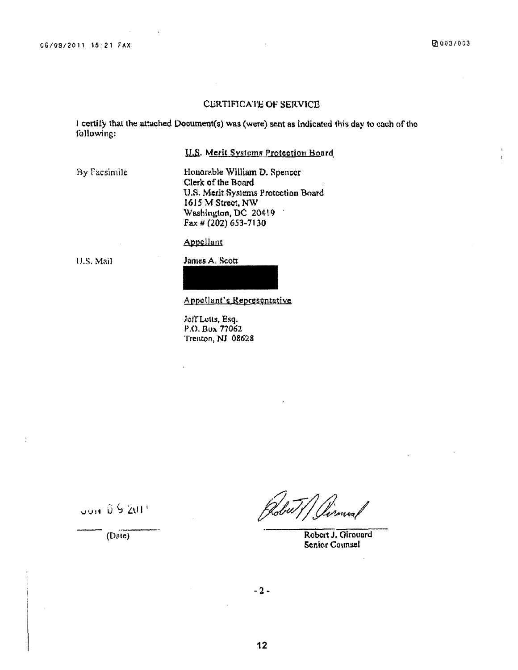I certify that the attached Document(s) was (were) sent as indicated this day to each of the following:

U.S. Merit Systems Protection Board

By Facsimile

Honorable William D. Spencer Clerk of the Board U.S. Merit Systems Protection Board 1615 M Street, NW Washington, DC 20419 Fax #  $(202)$  653-7130

Appellant

U.S. Mail

 $\frac{1}{2}$ 

James A. Scott

#### Appellant's Representative

Jeff Letts, Esq. P.O. Box 77062 Trenton, NJ 08628

UUS C G HOU

(Date)

Robert J. Girouard Senior Counsel

 $-2-$ 

 $12$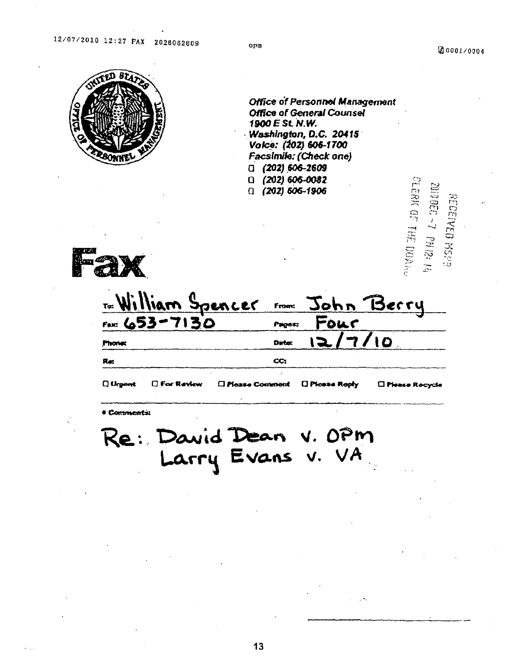

|                                  | <b>Office of Personnel Management</b><br><b>Office of General Counsel</b><br>1900 E St. N.W.<br>Washington, D.C. 20415<br>Valce: (202) 606-1700<br>Facsimile: (Check one)<br>□ (202) 606-2609<br>$(202) 606 - 0082$<br>n<br>00000 - 7 PHI2: 14<br>$(202) 606 - 1906$<br>Π<br><b>ERK</b><br><u>ទុ</u><br>$\overline{\phantom{0}}$ 184 00Ah | <b>REURED RSPR</b> |
|----------------------------------|-------------------------------------------------------------------------------------------------------------------------------------------------------------------------------------------------------------------------------------------------------------------------------------------------------------------------------------------|--------------------|
| Fasc 653-7130                    | To William Spencer From John Berry<br>Four<br>Puges:                                                                                                                                                                                                                                                                                      |                    |
| <b>Phone:</b>                    | 12/7/10<br>Data:                                                                                                                                                                                                                                                                                                                          |                    |
| Red                              | CC:                                                                                                                                                                                                                                                                                                                                       |                    |
| $\square$ Urport<br>□ For Review | □ Picase Contrant<br><b>LI Picase Roply</b><br><b>LI Piense Rocycle</b>                                                                                                                                                                                                                                                                   |                    |
| I Commenti:                      |                                                                                                                                                                                                                                                                                                                                           |                    |
|                                  | David Dean V. Opm<br>Larry Evans V. VA                                                                                                                                                                                                                                                                                                    |                    |

 $13$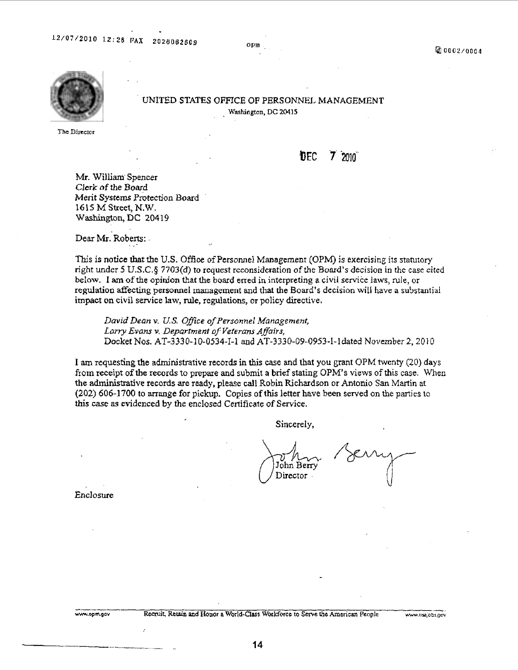OPlll



UNITED STATES OFFICE OF PERSONNEL MANAGEMENT Washington, DC 20415

The Director

#### **DEC**  $7 \gamma$  2010

Mr. William· Spencer Clerk of the Board Merit Systems Protection Board 1615 M Street, N.W. Washington, DC 20419

Dear Mr. Roberts:

This is notice that the U.S. Office of Personnel Management (OPM) is exercising its statutory right under *5* U.S.C.§ 7703(d) to request reconsideration of the Board's decision in the case cited below. I am of the opinion that the board erred in interpreting a civil service laws, rule, or regulation affecting personnel management and that the Board's decision will have a substantial impact on civil service law, rule, regulations, or policy directive.

*David Dean* v. *U.S. Office of Personnel Management, Larry Evans v. Department of Veterans Affairs,*  Docket Nos. AT-3330-10-0534-I-l and AT-3330-09-0953-1-ldated November 2, 2010

I am requesting the administrative records in this case and that you grant OPM twenty (20) days from receipt of the records to prepare and submit a brief stating OPM's views of this case. When the administrative records are ready, please call Robin Richardson or Antonio San Martin at (202) 606· 1700 to arrange for pickup. Copies of this letter have been served on the parties to this case as evidenced by the enclosed Certificate of Service.

Sincerely,

John Berry Director -

Enclosure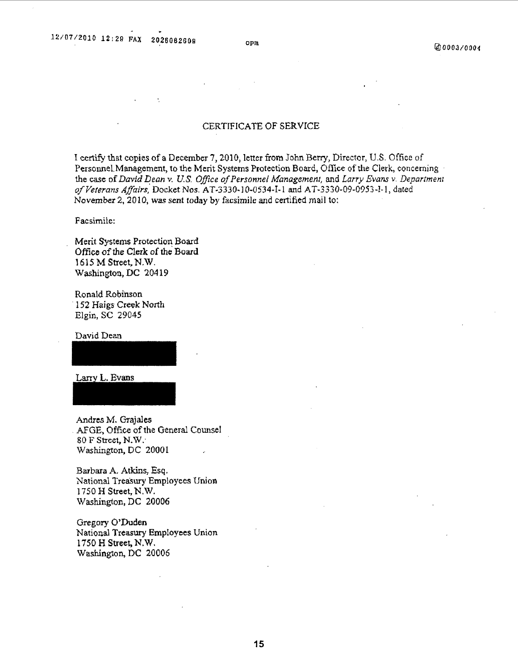I certify that copies of a December 7, 2010, letter from John Berry, Director, U.S. Office of Personnel. Management, to the Merit Systems Protection Board, Office of the Clerk, concerning the case of *David Dean v. U.S. Office of Personnel Management, and Larry Evans v. Department o/Veterans Affairs,* Docket Nos. AT-3330-10-0534-I-l and AT-3330-09-0953-1-1, dated November 2, 2010, was sent today by facsimile and certified mail to:

Facsimile:

Merit Systems Protection Board Office of the Clerk of the Board 1615 M Street, N.W. Washington, DC 20419

Ronald Robinson 152 Haigs Creek North Elgin, SC 29045

David Dean

Larry L. Evans

Andres M. Grajales . AFGE, Office of the General Counsel  $80$  F Street, N.W. Washington, DC 20001

Barbara A Atkins, Esq. National Treasury Employees Union 1750 H Street, N.W. Washington, DC 20006

Gregory O'Duden National Treasury Employees Union 1750 H Street, N.W. Washington. DC 20006